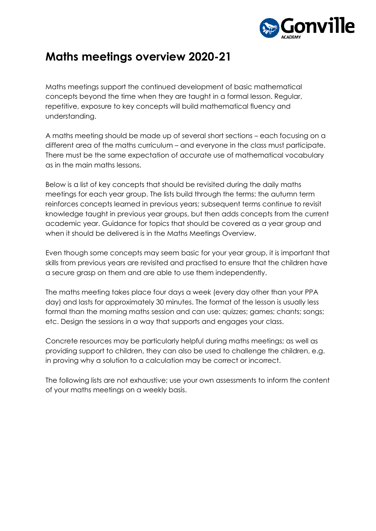

Maths meetings support the continued development of basic mathematical concepts beyond the time when they are taught in a formal lesson. Regular, repetitive, exposure to key concepts will build mathematical fluency and understanding.

A maths meeting should be made up of several short sections – each focusing on a different area of the maths curriculum – and everyone in the class must participate. There must be the same expectation of accurate use of mathematical vocabulary as in the main maths lessons.

Below is a list of key concepts that should be revisited during the daily maths meetings for each year group. The lists build through the terms: the autumn term reinforces concepts learned in previous years; subsequent terms continue to revisit knowledge taught in previous year groups, but then adds concepts from the current academic year. Guidance for topics that should be covered as a year group and when it should be delivered is in the Maths Meetings Overview.

Even though some concepts may seem basic for your year group, it is important that skills from previous years are revisited and practised to ensure that the children have a secure grasp on them and are able to use them independently.

The maths meeting takes place four days a week (every day other than your PPA day) and lasts for approximately 30 minutes. The format of the lesson is usually less formal than the morning maths session and can use: quizzes; games; chants; songs; etc. Design the sessions in a way that supports and engages your class.

Concrete resources may be particularly helpful during maths meetings; as well as providing support to children, they can also be used to challenge the children, e.g. in proving why a solution to a calculation may be correct or incorrect.

The following lists are not exhaustive; use your own assessments to inform the content of your maths meetings on a weekly basis.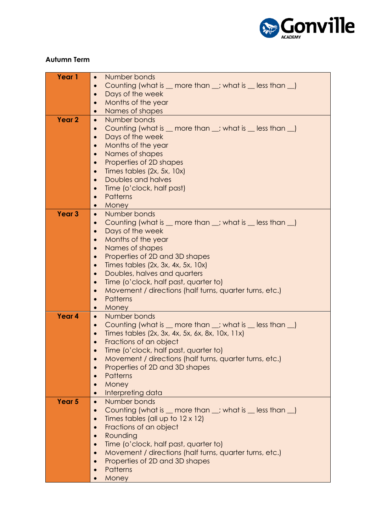

### **Autumn Term**

| Year 1            | Number bonds<br>$\bullet$                                                            |
|-------------------|--------------------------------------------------------------------------------------|
|                   |                                                                                      |
|                   | Counting (what is _ more than _; what is _ less than _)                              |
|                   | Days of the week<br>$\bullet$                                                        |
|                   | Months of the year<br>$\bullet$                                                      |
|                   | Names of shapes<br>$\bullet$                                                         |
| Year 2            | Number bonds<br>$\bullet$                                                            |
|                   | Counting (what is _ more than _; what is _ less than _)                              |
|                   | Days of the week<br>$\bullet$                                                        |
|                   |                                                                                      |
|                   | Months of the year<br>$\bullet$                                                      |
|                   | Names of shapes<br>$\bullet$                                                         |
|                   | Properties of 2D shapes<br>$\bullet$                                                 |
|                   | Times tables (2x, 5x, 10x)<br>$\bullet$                                              |
|                   | Doubles and halves<br>$\bullet$                                                      |
|                   | Time (o'clock, half past)                                                            |
|                   | Patterns<br>$\bullet$                                                                |
|                   | Money<br>$\bullet$                                                                   |
|                   |                                                                                      |
| Year <sub>3</sub> | Number bonds<br>$\bullet$                                                            |
|                   | Counting (what is $\_\$ more than $\_\$ ; what is $\_\$ less than $\_\$<br>$\bullet$ |
|                   | Days of the week<br>$\bullet$                                                        |
|                   | Months of the year<br>$\bullet$                                                      |
|                   | Names of shapes<br>$\bullet$                                                         |
|                   | Properties of 2D and 3D shapes                                                       |
|                   | Times tables (2x, 3x, 4x, 5x, 10x)<br>$\bullet$                                      |
|                   | Doubles, halves and quarters<br>$\bullet$                                            |
|                   | Time (o'clock, half past, quarter to)                                                |
|                   | $\bullet$                                                                            |
|                   | Movement / directions (half turns, quarter turns, etc.)<br>$\bullet$                 |
|                   | <b>Patterns</b><br>$\bullet$                                                         |
|                   | Money<br>$\bullet$                                                                   |
| Year 4            | Number bonds<br>$\bullet$                                                            |
|                   | Counting (what is $\_\$ more than $\_\$ ; what is $\_\$ less than $\_\$<br>$\bullet$ |
|                   | Times tables (2x, 3x, 4x, 5x, 6x, 8x, 10x, 11x)<br>$\bullet$                         |
|                   | Fractions of an object<br>$\bullet$                                                  |
|                   | Time (o'clock, half past, quarter to)                                                |
|                   | Movement / directions (half turns, quarter turns, etc.)<br>$\bullet$                 |
|                   | Properties of 2D and 3D shapes<br>$\bullet$                                          |
|                   | <b>Patterns</b><br>$\bullet$                                                         |
|                   | Money                                                                                |
|                   | $\bullet$                                                                            |
|                   | Interpreting data<br>$\bullet$                                                       |
| Year <sub>5</sub> | Number bonds<br>$\bullet$                                                            |
|                   | Counting (what is _ more than _; what is _ less than _)<br>$\bullet$                 |
|                   | Times tables (all up to $12 \times 12$ )                                             |
|                   | Fractions of an object                                                               |
|                   | Rounding                                                                             |
|                   | Time (o'clock, half past, quarter to)<br>$\bullet$                                   |
|                   | Movement / directions (half turns, quarter turns, etc.)                              |
|                   | Properties of 2D and 3D shapes                                                       |
|                   | <b>Patterns</b>                                                                      |
|                   |                                                                                      |
|                   | Money                                                                                |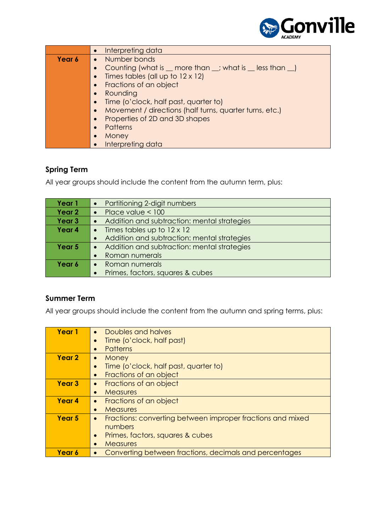

|        | Interpreting data                                       |
|--------|---------------------------------------------------------|
| Year 6 | • Number bonds                                          |
|        | Counting (what is _ more than _; what is _ less than _) |
|        | Times tables (all up to $12 \times 12$ )                |
|        | Fractions of an object                                  |
|        | Rounding                                                |
|        | Time (o'clock, half past, quarter to)                   |
|        | Movement / directions (half turns, quarter turns, etc.) |
|        | Properties of 2D and 3D shapes                          |
|        | <b>Patterns</b>                                         |
|        | Money<br>$\bullet$                                      |
|        | Interpreting data                                       |

### **Spring Term**

All year groups should include the content from the autumn term, plus:

| Year 1            | Partitioning 2-digit numbers                |
|-------------------|---------------------------------------------|
| Year <sub>2</sub> | Place value $< 100$                         |
| Year <sub>3</sub> | Addition and subtraction: mental strategies |
| Year 4            | Times tables up to 12 x 12<br>$\bullet$     |
|                   | Addition and subtraction: mental strategies |
| Year 5            | Addition and subtraction: mental strategies |
|                   | Roman numerals                              |
| Year 6            | Roman numerals                              |
|                   | Primes, factors, squares & cubes            |

### **Summer Term**

All year groups should include the content from the autumn and spring terms, plus:

| Year 1            | Doubles and halves<br>$\bullet$                                         |
|-------------------|-------------------------------------------------------------------------|
|                   | Time (o'clock, half past)                                               |
|                   | Patterns<br>$\bullet$                                                   |
| Year <sub>2</sub> | Money<br>$\bullet$                                                      |
|                   | Time (o'clock, half past, quarter to)                                   |
|                   | Fractions of an object<br>$\bullet$                                     |
| <b>Year 3</b>     | Fractions of an object<br>$\bullet$                                     |
|                   | <b>Measures</b><br>$\bullet$                                            |
| Year <sub>4</sub> | Fractions of an object<br>$\bullet$                                     |
|                   | <b>Measures</b><br>$\bullet$                                            |
| Year <sub>5</sub> | Fractions: converting between improper fractions and mixed<br>$\bullet$ |
|                   | numbers                                                                 |
|                   | Primes, factors, squares & cubes<br>$\bullet$                           |
|                   | <b>Measures</b>                                                         |
| Year 6            | Converting between fractions, decimals and percentages                  |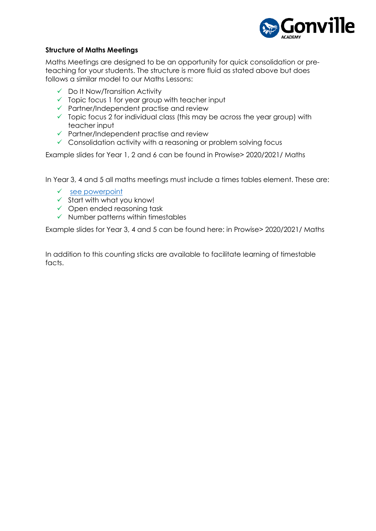

#### **Structure of Maths Meetings**

Maths Meetings are designed to be an opportunity for quick consolidation or preteaching for your students. The structure is more fluid as stated above but does follows a similar model to our Maths Lessons:

- $\checkmark$  Do It Now/Transition Activity
- $\checkmark$  Topic focus 1 for year group with teacher input
- $\checkmark$  Partner/Independent practise and review
- $\checkmark$  Topic focus 2 for individual class (this may be across the year group) with teacher input
- $\checkmark$  Partner/Independent practise and review
- $\checkmark$  Consolidation activity with a reasoning or problem solving focus

Example slides for Year 1, 2 and 6 can be found in Prowise> 2020/2021/ Maths

In Year 3, 4 and 5 all maths meetings must include a times tables element. These are:

- $\checkmark$  [see powerpoint](file://///step-trust.org/TrustTeacherShare/2019%20-%202020%20documents/CPD/Times%20Tables%20CPD%20-%20November%202019.pptx)
- $\checkmark$  Start with what you know!
- $\checkmark$  Open ended reasoning task
- $\checkmark$  Number patterns within timestables

Example slides for Year 3, 4 and 5 can be found here: in Prowise> 2020/2021/ Maths

In addition to this counting sticks are available to facilitate learning of timestable facts.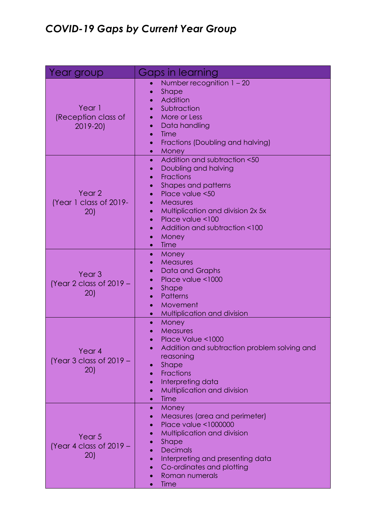## *COVID-19 Gaps by Current Year Group*

| Year group                                                   | Gaps in learning                                                                                                                                                                                                                                                                                                                                        |
|--------------------------------------------------------------|---------------------------------------------------------------------------------------------------------------------------------------------------------------------------------------------------------------------------------------------------------------------------------------------------------------------------------------------------------|
| Year 1<br>(Reception class of<br>2019-20)                    | Number recognition $1 - 20$<br><b>Shape</b><br>Addition<br>Subtraction<br>More or Less<br>Data handling<br>Time<br>Fractions (Doubling and halving)<br>Money<br>$\bullet$                                                                                                                                                                               |
| Year <sub>2</sub><br>(Year 1 class of 2019-<br>20)           | Addition and subtraction <50<br>$\bullet$<br>Doubling and halving<br>$\bullet$<br>Fractions<br>$\bullet$<br>Shapes and patterns<br>$\bullet$<br>Place value <50<br>Measures<br>$\bullet$<br>Multiplication and division 2x 5x<br>$\bullet$<br>Place value <100<br>$\bullet$<br>Addition and subtraction <100<br>$\bullet$<br>Money<br>$\bullet$<br>Time |
| Year <sub>3</sub><br>(Year 2 class of $2019 -$<br>(20)       | Money<br>$\bullet$<br>Measures<br>Data and Graphs<br>Place value <1000<br>Shape<br>Patterns<br>Movement<br>Multiplication and division                                                                                                                                                                                                                  |
| Year <sub>4</sub><br>(Year 3 class of $2019 -$<br><b>20)</b> | Money<br>$\bullet$<br>Measures<br>Place Value <1000<br>Addition and subtraction problem solving and<br>reasoning<br>Shape<br>Fractions<br>Interpreting data<br>Multiplication and division<br>Time                                                                                                                                                      |
| Year <sub>5</sub><br>(Year 4 class of $2019 -$<br><b>20)</b> | Money<br>$\bullet$<br>Measures (area and perimeter)<br><b>Place value &lt;1000000</b><br>Multiplication and division<br>Shape<br><b>Decimals</b><br>Interpreting and presenting data<br>Co-ordinates and plotting<br>Roman numerals<br>Time                                                                                                             |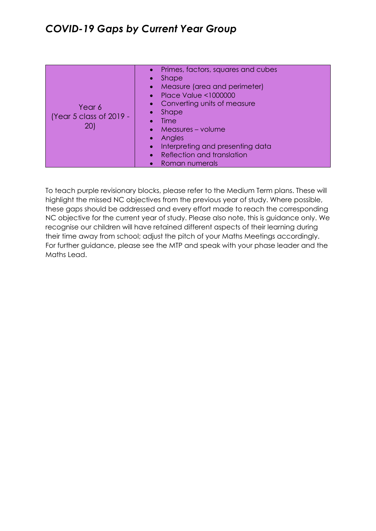| Year 6<br>(Year 5 class of 2019 -<br>20) | Primes, factors, squares and cubes<br>$\bullet$<br><b>Shape</b><br>$\bullet$<br>Measure (area and perimeter)<br>/o 7<br><b>Place Value &lt;1000000</b><br>$\bullet$<br>Converting units of measure<br><b>Shape</b><br>$\bullet$<br>Time<br>$\bullet$<br>Measures - volume<br>Angles<br>$\bullet$<br>Interpreting and presenting data<br>$\bullet$<br>Reflection and translation<br>$\bullet$<br>Roman numerals |
|------------------------------------------|----------------------------------------------------------------------------------------------------------------------------------------------------------------------------------------------------------------------------------------------------------------------------------------------------------------------------------------------------------------------------------------------------------------|
|------------------------------------------|----------------------------------------------------------------------------------------------------------------------------------------------------------------------------------------------------------------------------------------------------------------------------------------------------------------------------------------------------------------------------------------------------------------|

To teach purple revisionary blocks, please refer to the Medium Term plans. These will highlight the missed NC objectives from the previous year of study. Where possible, these gaps should be addressed and every effort made to reach the corresponding NC objective for the current year of study. Please also note, this is guidance only. We recognise our children will have retained different aspects of their learning during their time away from school; adjust the pitch of your Maths Meetings accordingly. For further guidance, please see the MTP and speak with your phase leader and the Maths Lead.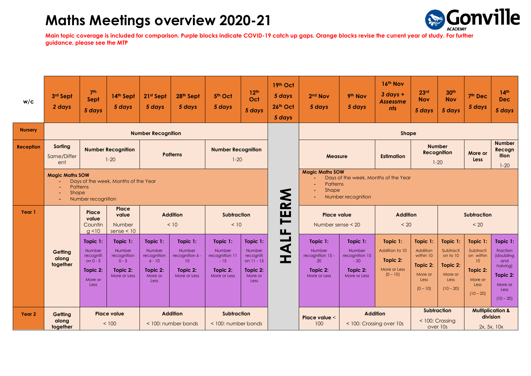

| w/c               | 3rd Sept<br>2 days                                                                        | 7 <sup>th</sup><br>Sept<br>5 days                                            | 14th Sept<br>5 days                                                         | 21st Sept<br>5 days                                                             | 28th Sept<br>5 days                                                                   | 5th Oct<br>5 days                                                         | 12 <sup>th</sup><br>Oct<br>5 days                                                            | 19th Oct<br>5 days<br>26th Oct<br>5 days | 2 <sup>nd</sup> Nov<br>5 days                                            | 9th Nov<br>5 days                                                         | 16th Nov<br>$3$ days +<br><b>Assessme</b><br>nts                        | 23 <sup>rd</sup><br><b>Nov</b><br>5 days                                       | 30 <sup>th</sup><br><b>Nov</b><br>5 days                                        | 7 <sup>th</sup> Dec<br>5 days                                                                       | 14 <sup>th</sup><br><b>Dec</b><br>5 days                                                                  |
|-------------------|-------------------------------------------------------------------------------------------|------------------------------------------------------------------------------|-----------------------------------------------------------------------------|---------------------------------------------------------------------------------|---------------------------------------------------------------------------------------|---------------------------------------------------------------------------|----------------------------------------------------------------------------------------------|------------------------------------------|--------------------------------------------------------------------------|---------------------------------------------------------------------------|-------------------------------------------------------------------------|--------------------------------------------------------------------------------|---------------------------------------------------------------------------------|-----------------------------------------------------------------------------------------------------|-----------------------------------------------------------------------------------------------------------|
| <b>Nursery</b>    |                                                                                           |                                                                              |                                                                             | <b>Number Recognition</b>                                                       |                                                                                       |                                                                           |                                                                                              |                                          |                                                                          |                                                                           | Shape                                                                   |                                                                                |                                                                                 |                                                                                                     |                                                                                                           |
| <b>Reception</b>  | Sorting<br><b>Number Recognition</b><br><b>Patterns</b><br>Same/Differ<br>$1 - 20$<br>ent |                                                                              |                                                                             |                                                                                 |                                                                                       | <b>Number Recognition</b><br>$1 - 20$                                     |                                                                                              |                                          | Measure                                                                  |                                                                           | <b>Estimation</b>                                                       | <b>Number</b><br><b>Recognition</b><br>$1 - 20$                                |                                                                                 | More or<br><b>Less</b>                                                                              | <b>Number</b><br>Recogn<br>ition<br>$1 - 20$                                                              |
|                   | <b>Magic Maths SOW</b><br>Patterns<br>Shape                                               | Number recognition                                                           | Days of the week, Months of the Year                                        |                                                                                 |                                                                                       |                                                                           |                                                                                              | <b>MA</b>                                | <b>Magic Maths SOW</b><br><b>Patterns</b><br>Shape                       | Number recognition                                                        | Days of the week, Months of the Year                                    |                                                                                |                                                                                 |                                                                                                     |                                                                                                           |
| Year 1            |                                                                                           | Place<br>value<br>Countin<br>$g$ <10                                         | Place<br>value<br>Number<br>sense $<$ 10                                    |                                                                                 | <b>Addition</b><br>< 10                                                               | <b>Subtraction</b><br>< 10                                                |                                                                                              | ш<br>$\blacksquare$<br>ய                 | Place value<br>Number sense < 20                                         |                                                                           | <b>Addition</b><br>< 20                                                 |                                                                                | <b>Subtraction</b><br>< 20                                                      |                                                                                                     |                                                                                                           |
|                   | Getting<br>along<br>together                                                              | Topic 1:<br>Number<br>recogniti<br>on $0 - 5$<br>Topic 2:<br>More or<br>Less | Topic $1$ :<br>Number<br>recognition<br>$0 - 5$<br>Topic 2:<br>More or Less | Topic $1$ :<br>Number<br>recognition<br>$6 - 10$<br>Topic 2:<br>More or<br>Less | Topic 1:<br>Number<br>recognition 6 -<br>10 <sup>10</sup><br>Topic 2:<br>More or Less | Topic 1:<br>Number<br>recognition 11<br>$-15$<br>Topic 2:<br>More or Less | Topic 1:<br><b>Number</b><br>recogniti<br>on $11 - 15$<br>Topic 2:<br>More or<br><b>Less</b> | $\blacktriangleleft$<br>$\mathbf{I}$     | Topic 1:<br>Number<br>recognition 15 -<br>20<br>Topic 2:<br>More or Less | Topic 1:<br>Number<br>recognition 15<br>$-20$<br>Topic 2:<br>More or Less | Topic $1$ :<br>Addition to 10<br>Topic 2:<br>More or Less<br>$(0 - 10)$ | Topic 1:<br>Addition<br>within 10<br>Topic 2:<br>More or<br>Less<br>$(0 - 10)$ | Topic 1:<br>Subtracti<br>on to 10<br>Topic 2:<br>More or<br>Less<br>$(10 - 20)$ | Topic 1:<br>Subtracti<br>on within<br>10 <sup>°</sup><br>Topic 2:<br>More or<br>Less<br>$(10 - 20)$ | Topic 1:<br><b>Fraction</b><br>(doubling<br>and<br>halving)<br>Topic 2:<br>More or<br>Less<br>$(10 - 20)$ |
| Year <sub>2</sub> | Getting                                                                                   |                                                                              | <b>Place value</b>                                                          | <b>Addition</b><br>< 100: number bonds                                          |                                                                                       | <b>Subtraction</b><br>< 100: number bonds                                 |                                                                                              |                                          |                                                                          |                                                                           | <b>Addition</b>                                                         | <b>Subtraction</b>                                                             |                                                                                 | <b>Multiplication &amp;</b>                                                                         |                                                                                                           |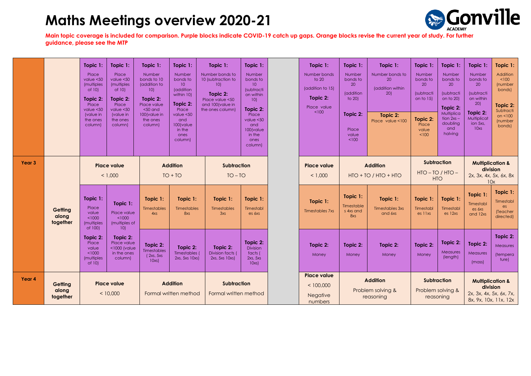

|                   |                              | Topic 1:<br>Place<br>value $<$ 50<br>(multiples<br>of 10)<br>Topic 2:<br>Place<br>value $50$<br>(value in<br>the ones<br>column) | Topic 1:<br>Place<br>value < 50<br>(multiples<br>of 10)<br>Topic 2:<br>Place<br>value $50$<br>(value in<br>the ones<br>column) | Topic 1:<br>Number<br>bonds to 10<br>(addition to<br>10<br>Topic 2:<br>Place value<br>$<$ 50 and<br>100(value in<br>the ones<br>column) | Topic 1:<br>Number<br>bonds to<br>10 <sup>°</sup><br>(addition<br>within 10)<br>Topic 2:<br>Place<br>value < 50<br>and<br>100(value<br>in the<br>ones<br>column) | Topic 1:<br>Number bonds to<br>10 (subtraction to<br>10<br>Topic 2:<br>Place value <50<br>and 100(value in<br>the ones column) | Topic 1:<br>Number<br>bonds to<br>10 <sup>°</sup><br>(subtracti<br>on within<br>10<br>Topic 2:<br>Place<br>value $50$<br>and<br>100(value<br>in the<br>ones<br>column) | Topic 1:<br>Number bonds<br>to 20<br>(addition to 15)<br>Topic 2:<br>Place value<br>< 100 | Topic 1:<br>Number<br>bonds to<br>20<br>(addition<br>to 20)<br>Topic 2:<br>Place<br>value<br>< 100 | Topic 1:<br>Number bonds to<br>20<br>(addition within<br>20<br>Topic 2:<br>Place value <100 | Topic 1:<br>Number<br>bonds to<br>20<br><i>(subtracti</i><br>on to 15)<br>Topic 2:<br>Place<br>value<br>< 100 | Topic 1:<br>Number<br>bonds to<br>20<br><i><b>Isubtracti</b></i><br>on to 20)<br>Topic 2:<br>Multiplica<br>$tion 2xs -$<br>doubling<br>and<br>halving | Topic 1:<br>Number<br>bonds to<br>20<br><i><b>Isubtracti</b></i><br>on within<br>20<br>Topic 2:<br>Multiplicat<br>ion 5xs,<br>10xs | Topic 1:<br>Addition<br>100<br>(number<br>bonds)<br>Topic 2:<br>Subtracti<br>on $< 100$<br>(number<br>bonds) |
|-------------------|------------------------------|----------------------------------------------------------------------------------------------------------------------------------|--------------------------------------------------------------------------------------------------------------------------------|-----------------------------------------------------------------------------------------------------------------------------------------|------------------------------------------------------------------------------------------------------------------------------------------------------------------|--------------------------------------------------------------------------------------------------------------------------------|------------------------------------------------------------------------------------------------------------------------------------------------------------------------|-------------------------------------------------------------------------------------------|----------------------------------------------------------------------------------------------------|---------------------------------------------------------------------------------------------|---------------------------------------------------------------------------------------------------------------|-------------------------------------------------------------------------------------------------------------------------------------------------------|------------------------------------------------------------------------------------------------------------------------------------|--------------------------------------------------------------------------------------------------------------|
| Year <sub>3</sub> |                              | <b>Place value</b><br>< 1,000                                                                                                    |                                                                                                                                | <b>Addition</b><br>$TO + TO$                                                                                                            |                                                                                                                                                                  | <b>Subtraction</b><br>$TO - TO$                                                                                                |                                                                                                                                                                        | <b>Addition</b><br><b>Place value</b><br>< 1.000<br>$HTO + TO / HTO + HTO$                |                                                                                                    | <b>Subtraction</b><br>$HIO - IO / HIO -$<br><b>HTO</b>                                      |                                                                                                               | <b>Multiplication &amp;</b><br>division<br>2x, 3x, 4x, 5x, 6x, 8x<br>10x                                                                              |                                                                                                                                    |                                                                                                              |
|                   | Getting<br>along<br>together | Topic 1:<br>Place<br>value<br>< 1000<br>(multiples<br>of 100)                                                                    | Topic 1:<br>Place value<br>< 1000<br>(multiples of<br>10                                                                       | Topic 1:<br>Timestables<br>4x <sub>S</sub>                                                                                              | Topic 1:<br>Timestables<br>8xs                                                                                                                                   | Topic 1:<br>Timestables<br>3x <sub>S</sub>                                                                                     | Topic 1:<br>Timestabl<br>es 6xs                                                                                                                                        | Topic 1:<br><b>Timestables 7xs</b>                                                        | Topic 1:<br>Timestable<br>s 4xs and<br>8xs                                                         | Topic 1:<br><b>Timestables 3xs</b><br>and 6xs                                               | Topic 1:<br>Timestabl<br>es 11xs                                                                              | Topic 1:<br>Timestabl<br>es 12xs                                                                                                                      | Topic 1:<br>Timestabl<br>es 6xs<br>and 12xs                                                                                        | Topic 1:<br>Timestabl<br>es<br>(Teacher<br>directed)                                                         |
|                   |                              | Topic 2:<br>Place<br>value<br>< 1000<br>(multiples<br>of 10)                                                                     | Topic 2:<br>Place value<br>$<$ 1000 (value<br>in the ones<br>column)                                                           | Topic 2:<br>Timestables<br>(2xs, 5xs)<br>10xs                                                                                           | Topic 2:<br><b>Timestables</b><br>2xs, 5xs 10xs)                                                                                                                 | Topic 2:<br>Division facts (<br>2xs, 5xs 10xs)                                                                                 | Topic 2:<br><b>Division</b><br>facts (<br>2xs, 5xs<br>10xs                                                                                                             | Topic 2:<br>Money                                                                         | Topic 2:<br>Money                                                                                  | Topic 2:<br>Money                                                                           | Topic 2:<br>Money                                                                                             | Topic 2:<br>Measures<br>(length)                                                                                                                      | Topic 2:<br><b>Measures</b><br>(mass)                                                                                              | Topic 2:<br><b>Measures</b><br>(tempera<br>ture)                                                             |
| Year 4            | Getting<br>along<br>together | <b>Place value</b><br>< 10,000                                                                                                   |                                                                                                                                |                                                                                                                                         | <b>Addition</b><br>Formal written method                                                                                                                         | <b>Subtraction</b><br>Formal written method                                                                                    |                                                                                                                                                                        | <b>Place value</b><br>< 100,000<br>Negative<br>numbers                                    |                                                                                                    | <b>Addition</b><br>Problem solving &<br>reasoning                                           | Problem solving &<br>reasoning                                                                                | <b>Subtraction</b>                                                                                                                                    | <b>Multiplication &amp;</b><br>division<br>2x, 3x, 4x, 5x, 6x, 7x,                                                                 | 8x, 9x, 10x, 11x, 12x                                                                                        |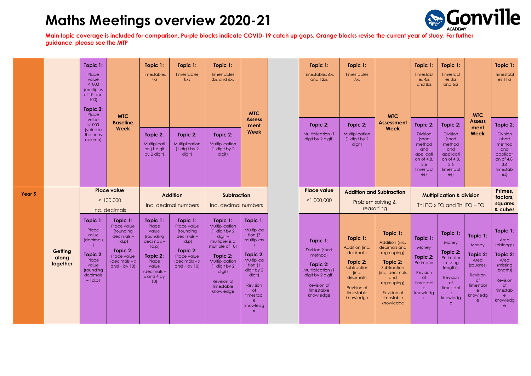

|        |                              | Topic 1:<br>Place<br>value<br>< 1000<br>(multiples<br>of 10 and<br>100<br>Topic 2:<br>Place<br>value      | <b>MTC</b><br><b>Baseline</b>                                                                                                     | Topic $1$ :<br><b>Timestables</b><br>4x <sub>S</sub>                                                                                    | Topic 1:<br><b>Timestables</b><br>8xs                                                                                                | Topic 1:<br><b>Timestables</b><br>3xs and 6xs                                                                                                                                                                 | <b>MTC</b><br><b>Assess</b><br>ment<br>Week                                                                                                                                                | Topic 1:<br>Timestables 6xs<br>and 12xs<br>Topic 2:<br>Multiplication (1<br>digit by 2 digit) | Topic 1:<br><b>Timestables</b><br>7xs<br>Topic 2:                                                                                      | <b>MTC</b><br><b>Assessment</b>                                                                                                           | Topic 1:<br>Timestabl<br>es 4xs<br>and 8xs                                                                                                                             | Topic 1:<br>Timestabl<br>es 3xs<br>and 6xs                                                                        | <b>MTC</b><br><b>Assess</b>                                                                                                               | Topic 1:<br>Timestabl<br>es 11xs                                                                                      |                                                                                                                                                             |
|--------|------------------------------|-----------------------------------------------------------------------------------------------------------|-----------------------------------------------------------------------------------------------------------------------------------|-----------------------------------------------------------------------------------------------------------------------------------------|--------------------------------------------------------------------------------------------------------------------------------------|---------------------------------------------------------------------------------------------------------------------------------------------------------------------------------------------------------------|--------------------------------------------------------------------------------------------------------------------------------------------------------------------------------------------|-----------------------------------------------------------------------------------------------|----------------------------------------------------------------------------------------------------------------------------------------|-------------------------------------------------------------------------------------------------------------------------------------------|------------------------------------------------------------------------------------------------------------------------------------------------------------------------|-------------------------------------------------------------------------------------------------------------------|-------------------------------------------------------------------------------------------------------------------------------------------|-----------------------------------------------------------------------------------------------------------------------|-------------------------------------------------------------------------------------------------------------------------------------------------------------|
|        |                              | < 1000<br>Week<br>(value in<br>the ones<br>column)                                                        |                                                                                                                                   | Topic 2:<br>Multiplicati<br>on (1 digit<br>by 2 digit)                                                                                  | Topic 2:<br>Multiplication<br>(1 digit by 2<br>digit)                                                                                | Topic 2:<br>Multiplication<br>(1 digit by 2<br>digit)                                                                                                                                                         |                                                                                                                                                                                            |                                                                                               |                                                                                                                                        | Multiplication<br>(1 digit by 2<br>digit)                                                                                                 | Week                                                                                                                                                                   | Topic 2:<br><b>Division</b><br>(short<br>method<br>and<br>applicati<br>on of 4,8,<br>3,6<br>timestabl<br>es)      | Topic 2:<br><b>Division</b><br>(short<br>method<br>and<br>applicati<br>on of 4,8,<br>3,6<br>timestabl<br>es)                              | ment<br>Week                                                                                                          | Topic 2:<br>Division<br>(short<br>method<br>and<br>applicati<br>on of 4,8,<br>3,6<br>timestabl<br>es)                                                       |
| Year 5 |                              |                                                                                                           | <b>Place value</b><br>< 100,000<br>Inc. decimals                                                                                  |                                                                                                                                         | <b>Addition</b><br>Inc. decimal numbers                                                                                              | <b>Subtraction</b><br>Inc. decimal numbers                                                                                                                                                                    |                                                                                                                                                                                            |                                                                                               | <b>Place value</b><br>< 1,000,000                                                                                                      | <b>Addition and Subtraction</b><br>Problem solving &<br>reasoning                                                                         |                                                                                                                                                                        |                                                                                                                   | <b>Multiplication &amp; division</b><br>ThHTO $\times$ TO and ThHTO $\div$ TO                                                             |                                                                                                                       | Primes,<br>factors,<br>squares<br>& cubes                                                                                                                   |
|        | Getting<br>along<br>together | Topic 1:<br>Place<br>value<br>(decimals<br>Topic 2:<br>Place<br>value<br>(rounding<br>decimals<br>$-1d.p$ | Topic 1:<br>Place value<br>(rounding<br>decimals-<br>1d.p<br>Topic 2:<br>Place value<br>$\sqrt{\frac{1}{2}}$<br>and $\div$ by 10) | Topic 1:<br>Place<br>value<br>(rounding<br>$decimals -$<br>1d.p<br>Topic 2:<br>Place<br>value<br>(decimals-<br>$x$ and $\div$ by<br>10) | Topic 1:<br>Place value<br>(rounding<br>$decimals -$<br>1d.p<br>Topic 2:<br>Place value<br>$\sqrt{\frac{1}{2}}$<br>and $\div$ by 10) | Topic $1$ :<br><b>Multiplication</b><br>(1 digit by 2)<br>$digit -$<br>multiplier is a<br>multiple of 10)<br>Topic 2:<br>Multiplication<br>(1 digit by 2)<br>digit)<br>Revision of<br>timestable<br>knowledge | Topic 1:<br>Multiplica<br>tion (3)<br>multipliers<br>Topic 2:<br>Multiplica<br>tion (1)<br>digit by 2<br>digit)<br>Revision<br>of<br>timestabl<br>$\mathsf{e}$<br>knowledg<br>$\mathbf{e}$ |                                                                                               | Topic 1:<br>Division (short<br>method)<br>Topic 2:<br>Multiplication (1<br>digit by 2 digit)<br>Revision of<br>timestable<br>knowledge | Topic 1:<br>Addition (inc.<br>decimals)<br>Topic 2:<br>Subtraction<br>(inc.<br>decimals)<br><b>Revision of</b><br>timestable<br>knowledge | Topic 1:<br>Addition (inc.<br>decimals and<br>regrouping)<br>Topic 2:<br>Subtraction<br>(inc. decimals<br>and<br>regrouping)<br>Revision of<br>timestable<br>knowledge | Topic 1:<br>Money<br>Topic 2:<br>Perimeter<br>Revision<br>$\circ$ f<br>timestabl<br>e<br>knowledg<br>$\mathbf{e}$ | Topic 1:<br>Money<br>Topic 2:<br>Perimeter<br>(missing<br>lengths)<br>Revision<br>$\circ$ f<br>timestabl<br>e<br>knowledg<br>$\mathsf{e}$ | Topic 1:<br>Money<br>Topic 2:<br>Area<br>(squares)<br>Revision<br><b>of</b><br>timestabl<br>e<br>knowledg<br>$\theta$ | Topic 1:<br>Area<br>(oblongs)<br>Topic 2:<br>Area<br>(missing<br>lengths)<br>Revision<br>$\circ$ f<br>timestabl<br>$\mathbf{e}$<br>knowledg<br>$\mathbf{e}$ |